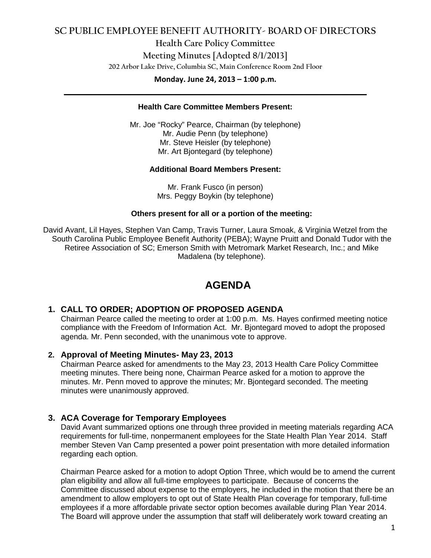# **SC PUBLIC EMPLOYEE BENEFIT AUTHORITY- BOARD OF DIRECTORS**

**Health Care Policy Committee Meeting Minutes [Adopted 8/1/2013] 202 Arbor Lake Drive, Columbia SC, Main Conference Room 2nd Floor**

**Monday. June 24, 2013 – 1:00 p.m. \_\_\_\_\_\_\_\_\_\_\_\_\_\_\_\_\_\_\_\_\_\_\_\_\_\_\_\_\_\_\_\_\_\_\_\_\_\_\_\_\_\_\_\_\_\_\_\_\_\_\_\_\_\_\_\_\_\_\_\_\_\_\_\_\_\_\_\_\_\_\_\_**

# **Health Care Committee Members Present:**

Mr. Joe "Rocky" Pearce, Chairman (by telephone) Mr. Audie Penn (by telephone) Mr. Steve Heisler (by telephone) Mr. Art Bjontegard (by telephone)

# **Additional Board Members Present:**

Mr. Frank Fusco (in person) Mrs. Peggy Boykin (by telephone)

# **Others present for all or a portion of the meeting:**

David Avant, Lil Hayes, Stephen Van Camp, Travis Turner, Laura Smoak, & Virginia Wetzel from the South Carolina Public Employee Benefit Authority (PEBA); Wayne Pruitt and Donald Tudor with the Retiree Association of SC; Emerson Smith with Metromark Market Research, Inc.; and Mike Madalena (by telephone).

# **AGENDA**

# **1. CALL TO ORDER; ADOPTION OF PROPOSED AGENDA**

Chairman Pearce called the meeting to order at 1:00 p.m. Ms. Hayes confirmed meeting notice compliance with the Freedom of Information Act. Mr. Bjontegard moved to adopt the proposed agenda. Mr. Penn seconded, with the unanimous vote to approve.

# **2. Approval of Meeting Minutes- May 23, 2013**

Chairman Pearce asked for amendments to the May 23, 2013 Health Care Policy Committee meeting minutes. There being none, Chairman Pearce asked for a motion to approve the minutes. Mr. Penn moved to approve the minutes; Mr. Bjontegard seconded. The meeting minutes were unanimously approved.

# **3. ACA Coverage for Temporary Employees**

David Avant summarized options one through three provided in meeting materials regarding ACA requirements for full-time, nonpermanent employees for the State Health Plan Year 2014. Staff member Steven Van Camp presented a power point presentation with more detailed information regarding each option.

Chairman Pearce asked for a motion to adopt Option Three, which would be to amend the current plan eligibility and allow all full-time employees to participate. Because of concerns the Committee discussed about expense to the employers, he included in the motion that there be an amendment to allow employers to opt out of State Health Plan coverage for temporary, full-time employees if a more affordable private sector option becomes available during Plan Year 2014. The Board will approve under the assumption that staff will deliberately work toward creating an